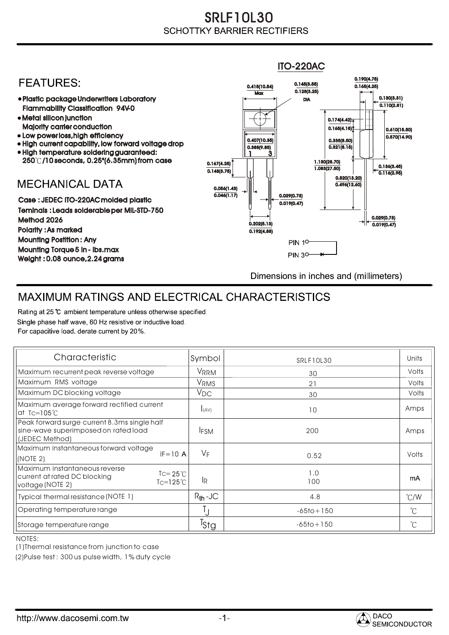## SRLF10L30 **SCHOTTKY BARRIER RECTIFIERS**

## ITO-220AC0.190(4.75) **FEATURES:** 0.145(3.55) 0.415(10.54) 0.165(4.25)  $Max \overline{0.128(3.25)}$ 0.130(3.31) Plastic package Underwriters Laboratory DIA  $\overline{0.110(2.81)}$ Flammability Classification 94V-0 Metal silicon junction  $0.174(4.42)$ Majority carrier conduction  $0.165(4.18)$ 0.610(15.50) • Low power loss, high efficiency  $0.570(14.90)$ 0.407(10.35) 0.335(8.50) • High current capability, low forward voltage drop  $0.321(8.15)$ 0.388(9.85) High temperature soldering guaranteed: 1 3 250 /10 seconds, 0.25"(6.35mm) from case 0.167(4.25) 1.130(28.70) 0.136(3.45) 1.083(27.50) 0.148(3.75) 0.116(2.95) 0.520(13.20) **MECHANICAL DATA**  $0.496(12.60)$ 0.056(1.43)  $\overline{0.046(1.17)}$   $\overline{ }$   $\parallel$   $\parallel$   $\parallel$  0.029(0.73) Case : JEDEC ITO-220AC molded plastic 0.019(0.47) Teminals : Leads solderable per MIL-STD-750 0.029(0.73) Method 2026  $0.202(5.13)$   $\rightarrow$   $\mid$   $\leftarrow$   $\frac{}{0.019(0.47)}$ Polarity : As marked 0.192(4.88) Mounting Postition : Any **PIN 10** Mounting Torque 5 in - lbs.max **PIN 30-**Weight : 0.08 ounce,2.24 grams Dimensions in inches and (millimeters)

## MAXIMUM RATINGS AND ELECTRICAL CHARACTERISTICS

Rating at 25 °C ambient temperature unless otherwise specified. Single phase half wave, 60 Hz resistive or inductive load. For capacitive load, derate current by 20%.

| Characteristic                                                                                                                         | Symbol           | SRLF10L30      | Units         |
|----------------------------------------------------------------------------------------------------------------------------------------|------------------|----------------|---------------|
| Maximum recurrent peak reverse voltage                                                                                                 | VRRM             | 30             | Volts         |
| Maximum RMS voltage                                                                                                                    | V <sub>RMS</sub> | 21             | Volts         |
| Maximum DC blocking voltage                                                                                                            | $V_{DC}$         | 30             | Volts         |
| Maximum average forward rectified current<br>at Tc=105 $\degree$ C                                                                     | <b>I</b> (AV)    | 10             | Amps          |
| Peak forward surge current 8.3ms single half<br>sine-wave superimposed on rated load<br>(JEDEC Method)                                 | <b>IFSM</b>      | 200            | Amps          |
| Maximum instantaneous forward voltage<br>$IF = 10 A$<br>(NOTE 2)                                                                       | VF               | 0.52           | Volts         |
| Maximum instantaneous reverse<br>$\text{TC} = 25^{\circ}$ C<br>current at rated DC blocking<br>TC=125 $^{\circ}$ C<br>voltage (NOTE 2) | <b>IR</b>        | 1.0<br>100     | mA            |
| Typical thermal resistance (NOTE 1)                                                                                                    | $R_{th}$ -JC     | 4.8            | $\degree$ C/W |
| Operating temperature range                                                                                                            |                  | $-65$ to + 150 | $^{\circ}$ C  |
| Storage temperature range                                                                                                              | <sup>I</sup> Sta | $-65$ to + 150 | $^{\circ}C$   |

NOTES:

(1)Thermal resistance from junction to case

(2)Pulse test : 300 us pulse width, 1% duty cycle